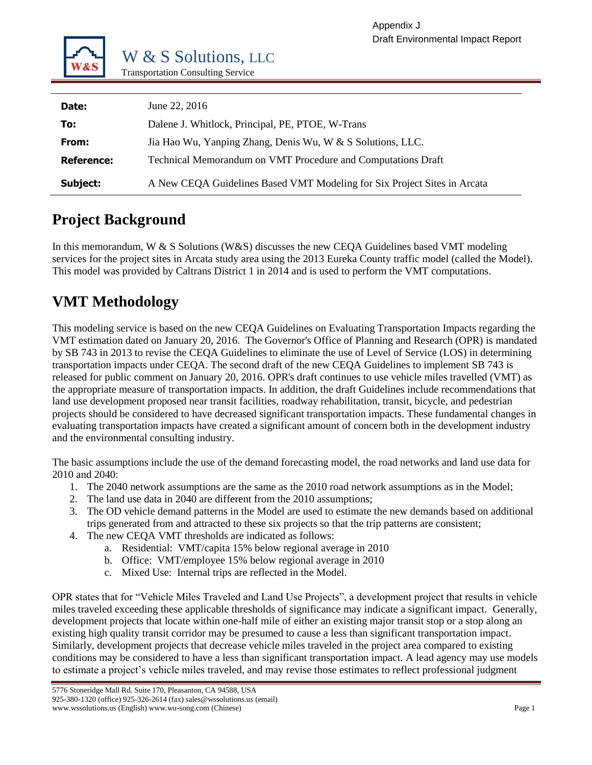

| Date:             | June 22, 2016                                                            |
|-------------------|--------------------------------------------------------------------------|
| To:               | Dalene J. Whitlock, Principal, PE, PTOE, W-Trans                         |
| From:             | Jia Hao Wu, Yanping Zhang, Denis Wu, W & S Solutions, LLC.               |
| <b>Reference:</b> | Technical Memorandum on VMT Procedure and Computations Draft             |
| Subject:          | A New CEQA Guidelines Based VMT Modeling for Six Project Sites in Arcata |

# **Project Background**

In this memorandum, W & S Solutions (W&S) discusses the new CEQA Guidelines based VMT modeling services for the project sites in Arcata study area using the 2013 Eureka County traffic model (called the Model). This model was provided by Caltrans District 1 in 2014 and is used to perform the VMT computations.

# **VMT Methodology**

This modeling service is based on the new CEQA Guidelines on Evaluating Transportation Impacts regarding the VMT estimation dated on January 20, 2016. The Governor's Office of Planning and Research (OPR) is mandated by SB 743 in 2013 to revise the CEQA Guidelines to eliminate the use of Level of Service (LOS) in determining transportation impacts under CEQA. The second draft of the new CEQA Guidelines to implement SB 743 is released for public comment on January 20, 2016. OPR's draft continues to use vehicle miles travelled (VMT) as the appropriate measure of transportation impacts. In addition, the draft Guidelines include recommendations that land use development proposed near transit facilities, roadway rehabilitation, transit, bicycle, and pedestrian projects should be considered to have decreased significant transportation impacts. These fundamental changes in evaluating transportation impacts have created a significant amount of concern both in the development industry and the environmental consulting industry.

The basic assumptions include the use of the demand forecasting model, the road networks and land use data for 2010 and 2040:

- 1. The 2040 network assumptions are the same as the 2010 road network assumptions as in the Model;
- 2. The land use data in 2040 are different from the 2010 assumptions;
- 3. The OD vehicle demand patterns in the Model are used to estimate the new demands based on additional trips generated from and attracted to these six projects so that the trip patterns are consistent;
- 4. The new CEQA VMT thresholds are indicated as follows:
	- a. Residential: VMT/capita 15% below regional average in 2010
	- b. Office: VMT/employee 15% below regional average in 2010
	- c. Mixed Use: Internal trips are reflected in the Model.

OPR states that for "Vehicle Miles Traveled and Land Use Projects", a development project that results in vehicle miles traveled exceeding these applicable thresholds of significance may indicate a significant impact. Generally, development projects that locate within one-half mile of either an existing major transit stop or a stop along an existing high quality transit corridor may be presumed to cause a less than significant transportation impact. Similarly, development projects that decrease vehicle miles traveled in the project area compared to existing conditions may be considered to have a less than significant transportation impact. A lead agency may use models to estimate a project's vehicle miles traveled, and may revise those estimates to reflect professional judgment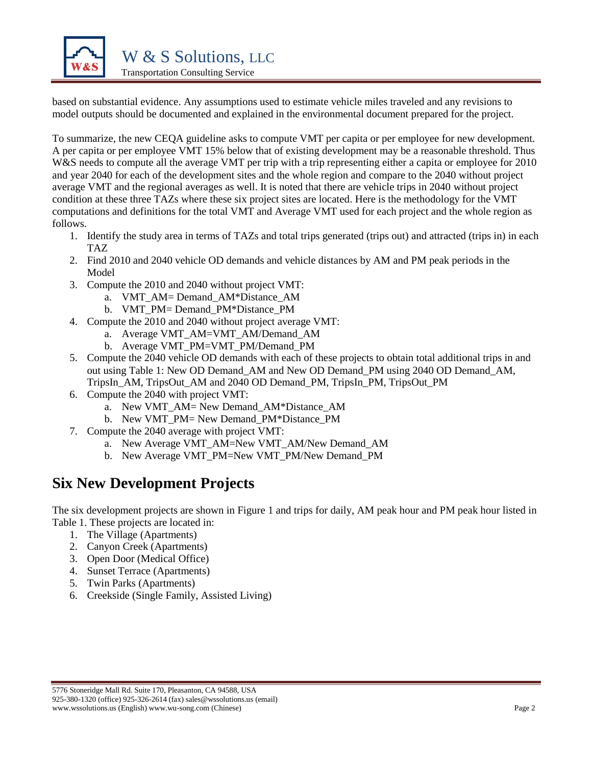

based on substantial evidence. Any assumptions used to estimate vehicle miles traveled and any revisions to model outputs should be documented and explained in the environmental document prepared for the project.

To summarize, the new CEQA guideline asks to compute VMT per capita or per employee for new development. A per capita or per employee VMT 15% below that of existing development may be a reasonable threshold. Thus W&S needs to compute all the average VMT per trip with a trip representing either a capita or employee for 2010 and year 2040 for each of the development sites and the whole region and compare to the 2040 without project average VMT and the regional averages as well. It is noted that there are vehicle trips in 2040 without project condition at these three TAZs where these six project sites are located. Here is the methodology for the VMT computations and definitions for the total VMT and Average VMT used for each project and the whole region as follows.

- 1. Identify the study area in terms of TAZs and total trips generated (trips out) and attracted (trips in) in each TAZ
- 2. Find 2010 and 2040 vehicle OD demands and vehicle distances by AM and PM peak periods in the Model
- 3. Compute the 2010 and 2040 without project VMT:
	- a. VMT\_AM= Demand\_AM\*Distance\_AM
	- b. VMT\_PM= Demand\_PM\*Distance\_PM
- 4. Compute the 2010 and 2040 without project average VMT:
	- a. Average VMT\_AM=VMT\_AM/Demand\_AM
	- b. Average VMT\_PM=VMT\_PM/Demand\_PM
- 5. Compute the 2040 vehicle OD demands with each of these projects to obtain total additional trips in and out using [Table 1:](#page-3-0) New OD Demand\_AM and New OD Demand\_PM using 2040 OD Demand\_AM, TripsIn\_AM, TripsOut\_AM and 2040 OD Demand\_PM, TripsIn\_PM, TripsOut\_PM
- 6. Compute the 2040 with project VMT:
	- a. New VMT\_AM= New Demand\_AM\*Distance\_AM
	- b. New VMT\_PM= New Demand\_PM\*Distance\_PM
- 7. Compute the 2040 average with project VMT:
	- a. New Average VMT\_AM=New VMT\_AM/New Demand\_AM
	- b. New Average VMT\_PM=New VMT\_PM/New Demand\_PM

# **Six New Development Projects**

The six development projects are shown in [Figure 1](#page-2-0) and trips for daily, AM peak hour and PM peak hour listed in Table 1. These projects are located in:

- 1. The Village (Apartments)
- 2. Canyon Creek (Apartments)
- 3. Open Door (Medical Office)
- 4. Sunset Terrace (Apartments)
- 5. Twin Parks (Apartments)
- 6. Creekside (Single Family, Assisted Living)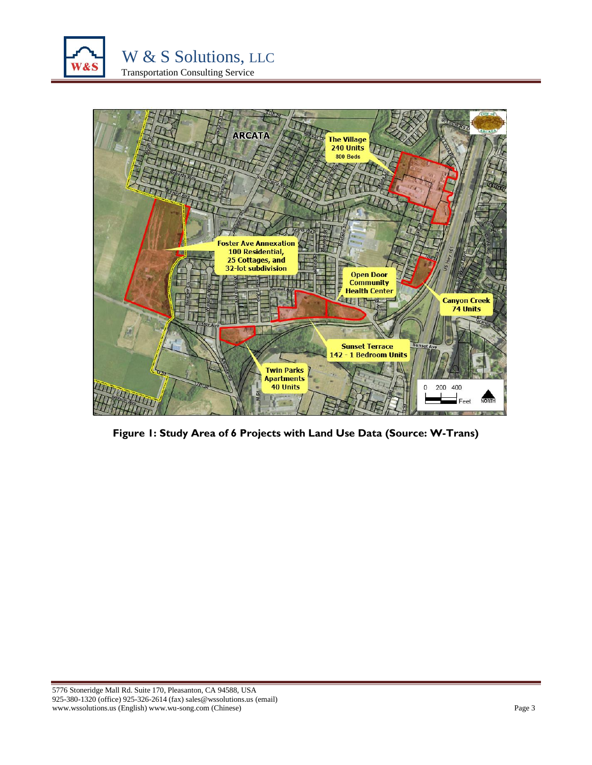



<span id="page-2-0"></span>**Figure 1: Study Area of 6 Projects with Land Use Data (Source: W-Trans)**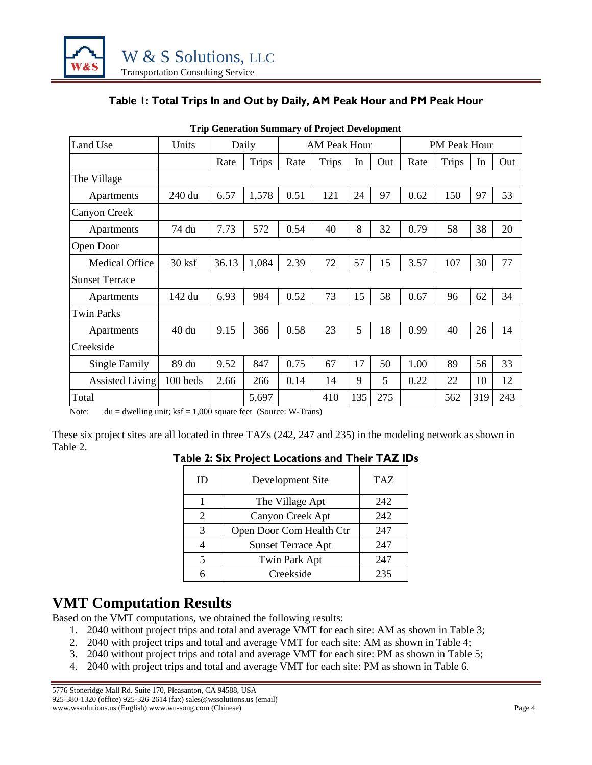

### **Table 1: Total Trips In and Out by Daily, AM Peak Hour and PM Peak Hour**

<span id="page-3-0"></span>

|                        |          | The ocalitation building of Froject Development |              |      |              |     |     |      |                     |     |     |
|------------------------|----------|-------------------------------------------------|--------------|------|--------------|-----|-----|------|---------------------|-----|-----|
| Land Use               | Units    |                                                 | Daily        |      | AM Peak Hour |     |     |      | <b>PM Peak Hour</b> |     |     |
|                        |          | Rate                                            | <b>Trips</b> | Rate | <b>Trips</b> | In  | Out | Rate | <b>Trips</b>        | In  | Out |
| The Village            |          |                                                 |              |      |              |     |     |      |                     |     |     |
| Apartments             | 240 du   | 6.57                                            | 1,578        | 0.51 | 121          | 24  | 97  | 0.62 | 150                 | 97  | 53  |
| Canyon Creek           |          |                                                 |              |      |              |     |     |      |                     |     |     |
| Apartments             | 74 du    | 7.73                                            | 572          | 0.54 | 40           | 8   | 32  | 0.79 | 58                  | 38  | 20  |
| Open Door              |          |                                                 |              |      |              |     |     |      |                     |     |     |
| <b>Medical Office</b>  | $30$ ksf | 36.13                                           | 1,084        | 2.39 | 72           | 57  | 15  | 3.57 | 107                 | 30  | 77  |
| <b>Sunset Terrace</b>  |          |                                                 |              |      |              |     |     |      |                     |     |     |
| Apartments             | 142 du   | 6.93                                            | 984          | 0.52 | 73           | 15  | 58  | 0.67 | 96                  | 62  | 34  |
| <b>Twin Parks</b>      |          |                                                 |              |      |              |     |     |      |                     |     |     |
| Apartments             | 40 du    | 9.15                                            | 366          | 0.58 | 23           | 5   | 18  | 0.99 | 40                  | 26  | 14  |
| Creekside              |          |                                                 |              |      |              |     |     |      |                     |     |     |
| Single Family          | 89 du    | 9.52                                            | 847          | 0.75 | 67           | 17  | 50  | 1.00 | 89                  | 56  | 33  |
| <b>Assisted Living</b> | 100 beds | 2.66                                            | 266          | 0.14 | 14           | 9   | 5   | 0.22 | 22                  | 10  | 12  |
| Total                  |          |                                                 | 5,697        |      | 410          | 135 | 275 |      | 562                 | 319 | 243 |

**Trip Generation Summary of Project Development**

Note:  $du = dwelling unit; ksf = 1,000 square feet (Source: W-Trans)$ 

<span id="page-3-1"></span>These six project sites are all located in three TAZs (242, 247 and 235) in the modeling network as shown in [Table 2.](#page-3-1)

**Table 2: Six Project Locations and Their TAZ IDs**

| ID | Development Site          | TAZ |
|----|---------------------------|-----|
|    | The Village Apt           | 242 |
| 2  | Canyon Creek Apt          | 242 |
| 3  | Open Door Com Health Ctr  | 247 |
|    | <b>Sunset Terrace Apt</b> | 247 |
| 5  | Twin Park Apt             | 247 |
|    | Creekside                 | 235 |

# **VMT Computation Results**

Based on the VMT computations, we obtained the following results:

- 1. 2040 without project trips and total and average VMT for each site: AM as shown in [Table 3;](#page-4-0)
- 2. 2040 with project trips and total and average VMT for each site: AM as shown in Table 4;
- 3. 2040 without project trips and total and average VMT for each site: PM as shown in [Table 5;](#page-5-0)
- 4. 2040 with project trips and total and average VMT for each site: PM as shown in [Table 6.](#page-5-1)

5776 Stoneridge Mall Rd. Suite 170, Pleasanton, CA 94588, USA 925-380-1320 (office) 925-326-2614 (fax) sales@wssolutions.us (email) www.wssolutions.us (English) www.wu-song.com (Chinese) Page 4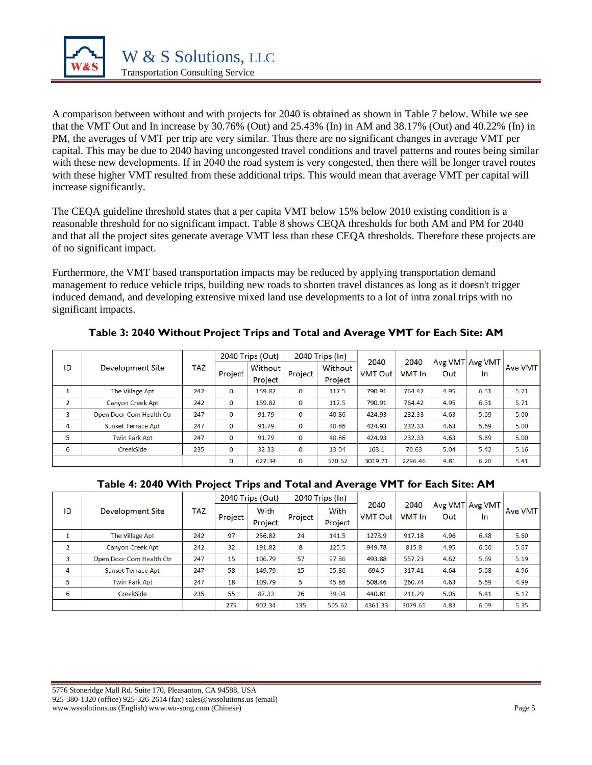

A comparison between without and with projects for 2040 is obtained as shown in [Table 7](#page-6-0) below. While we see that the VMT Out and In increase by 30.76% (Out) and 25.43% (In) in AM and 38.17% (Out) and 40.22% (In) in PM, the averages of VMT per trip are very similar. Thus there are no significant changes in average VMT per capital. This may be due to 2040 having uncongested travel conditions and travel patterns and routes being similar with these new developments. If in 2040 the road system is very congested, then there will be longer travel routes with these higher VMT resulted from these additional trips. This would mean that average VMT per capital will increase significantly.

The CEQA guideline threshold states that a per capita VMT below 15% below 2010 existing condition is a reasonable threshold for no significant impact. [Table 8](#page-7-0) shows CEQA thresholds for both AM and PM for 2040 and that all the project sites generate average VMT less than these CEQA thresholds. Therefore these projects are of no significant impact.

Furthermore, the VMT based transportation impacts may be reduced by applying transportation demand management to reduce vehicle trips, building new roads to shorten travel distances as long as it doesn't trigger induced demand, and developing extensive mixed land use developments to a lot of intra zonal trips with no significant impacts.

<span id="page-4-0"></span>

|                |                           | TAZ | 2040 Trips (Out) |         |              | 2040 Trips (In) | 2040           | 2040    | Avg VMT Avg VMT |      |         |
|----------------|---------------------------|-----|------------------|---------|--------------|-----------------|----------------|---------|-----------------|------|---------|
| ID             | Development Site          |     | Project          | Without | Project      | Without         | <b>VMT Out</b> | VMT In  | Out             | In.  | Ave VMT |
|                |                           |     |                  | Project |              | Project         |                |         |                 |      |         |
|                | The Village Apt           | 242 | $\Omega$         | 159.82  | $\Omega$     | 117.5           | 790.91         | 764.42  | 4.95            | 6.51 | 5.71    |
| $\overline{2}$ | <b>Canyon Creek Apt</b>   | 242 | $\bf{0}$         | 159.82  | $\bf{0}$     | 117.5           | 790.91         | 764.42  | 4.95            | 6.51 | 5.71    |
| 3              | Open Door Com Health Ctr  | 247 | $\Omega$         | 91.79   | $\Omega$     | 40.86           | 424.93         | 232.33  | 4.63            | 5.69 | 5.00    |
| 4              | <b>Sunset Terrace Apt</b> | 247 | $\bf{0}$         | 91.79   | $\mathbf{0}$ | 40.86           | 424.93         | 232.33  | 4.63            | 5.69 | 5.00    |
| 5              | <b>Twin Park Apt</b>      | 247 | $\Omega$         | 91.79   | $\mathbf{0}$ | 40.86           | 424.93         | 232.33  | 4.63            | 5.69 | 5.00    |
| 6              | CreekSide                 | 235 | $\bf{0}$         | 32.33   | $\mathbf{0}$ | 13.04           | 163.1          | 70.63   | 5.04            | 5.42 | 5.16    |
|                |                           |     | $\Omega$         | 627.34  | $\bf{0}$     | 370.62          | 3019.71        | 2296.46 | 4.81            | 6.20 | 5.41    |

**Table 3: 2040 Without Project Trips and Total and Average VMT for Each Site: AM**

### **Table 4: 2040 With Project Trips and Total and Average VMT for Each Site: AM**

|                |                           | TAZ | 2040 Trips (Out) |         | 2040 Trips (In) |         | -              |         |      |                 |         |
|----------------|---------------------------|-----|------------------|---------|-----------------|---------|----------------|---------|------|-----------------|---------|
| ID             | Development Site          |     |                  | With    |                 | With    | 2040           | 2040    |      | Avg VMT Avg VMT | Ave VMT |
|                |                           |     | Project          | Project | Project         | Project | <b>VMT Out</b> | VMT In  | Out  | In.             |         |
|                | The Village Apt           | 242 | 97               | 256.82  | 24              | 141.5   | 1273.9         | 917.18  | 4.96 | 6.48            | 5.60    |
| $\overline{2}$ | <b>Canyon Creek Apt</b>   | 242 | 32               | 191.82  | 8               | 125.5   | 949.78         | 815.8   | 4.95 | 6.50            | 5.67    |
| 3              | Open Door Com Health Ctr  | 247 | 15               | 106.79  | 57              | 97.86   | 493.88         | 557.23  | 4.62 | 5.69            | 5.19    |
| 4              | <b>Sunset Terrace Apt</b> | 247 | 58               | 149.79  | 15              | 55.86   | 694.5          | 317.41  | 4.64 | 5.68            | 4.96    |
| 5              | <b>Twin Park Apt</b>      | 247 | 18               | 109.79  | 5.              | 45.86   | 508.46         | 260.74  | 4.63 | 5.69            | 4.99    |
| 6              | CreekSide                 | 235 | 55               | 87.33   | 26              | 39.04   | 440.81         | 211.29  | 5.05 | 5.41            | 5.17    |
|                |                           |     | 275              | 902.34  | 135             | 505.62  | 4361.33        | 3079.65 | 4.83 | 6.09            | 5.35    |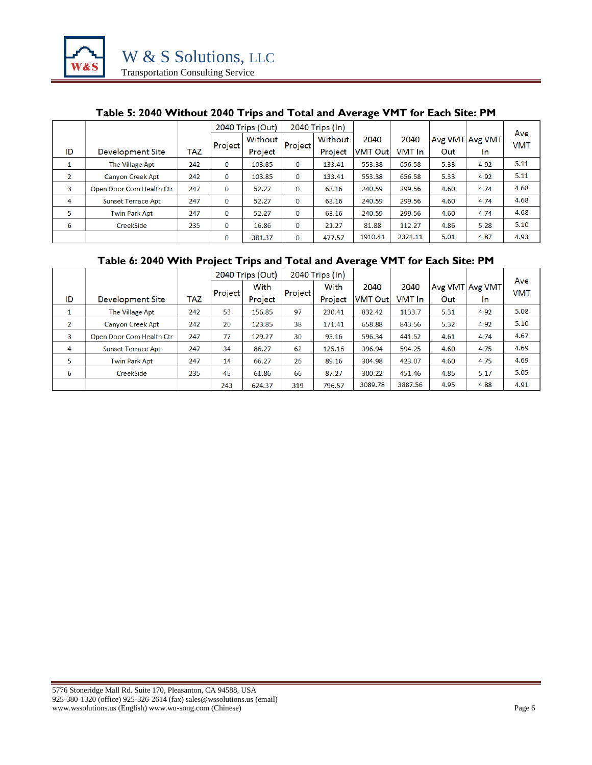

#### **Table 5: 2040 Without 2040 Trips and Total and Average VMT for Each Site: PM**

<span id="page-5-0"></span>

|                          |                           |     |          | 2040 Trips (Out) |          | 2040 Trips (In) |                |         |      |                 |                   |
|--------------------------|---------------------------|-----|----------|------------------|----------|-----------------|----------------|---------|------|-----------------|-------------------|
|                          |                           |     | Project  | Without          | Project  | Without         | 2040           | 2040    |      | Avg VMT Avg VMT | Ave<br><b>VMT</b> |
| ID                       | Development Site          | TAZ |          | Project          |          | Project         | <b>VMT Out</b> | VMT In  | Out  | In.             |                   |
|                          | The Village Apt           | 242 | 0        | 103.85           | 0        | 133.41          | 553.38         | 656.58  | 5.33 | 4.92            | 5.11              |
| $\overline{\phantom{a}}$ | <b>Canyon Creek Apt</b>   | 242 | 0        | 103.85           | 0        | 133.41          | 553.38         | 656.58  | 5.33 | 4.92            | 5.11              |
| 3                        | Open Door Com Health Ctr  | 247 | $\bf{0}$ | 52.27            | 0        | 63.16           | 240.59         | 299.56  | 4.60 | 4.74            | 4.68              |
| 4                        | <b>Sunset Terrace Apt</b> | 247 | 0        | 52.27            | 0        | 63.16           | 240.59         | 299.56  | 4.60 | 4.74            | 4.68              |
| 5                        | <b>Twin Park Apt</b>      | 247 | 0        | 52.27            | 0        | 63.16           | 240.59         | 299.56  | 4.60 | 4.74            | 4.68              |
| 6                        | CreekSide                 | 235 | $\bf{0}$ | 16.86            | $\bf{0}$ | 21.27           | 81.88          | 112.27  | 4.86 | 5.28            | 5.10              |
|                          |                           |     | 0        | 381.37           | 0        | 477.57          | 1910.41        | 2324.11 | 5.01 | 4.87            | 4.93              |

## **Table 6: 2040 With Project Trips and Total and Average VMT for Each Site: PM**

<span id="page-5-1"></span>

|                |                           |     | 2040 Trips (Out) |         |         | 2040 Trips (In) |                |         |      |                 |                   |
|----------------|---------------------------|-----|------------------|---------|---------|-----------------|----------------|---------|------|-----------------|-------------------|
|                |                           |     |                  | With    |         | With            | 2040           | 2040    |      | Avg VMT Avg VMT | Ave<br><b>VMT</b> |
| ID             | Development Site          | TAZ | Project          | Project | Project | Project         | <b>VMT Out</b> | VMT In  | Out  | In              |                   |
| 1              | The Village Apt           | 242 | 53               | 156.85  | 97      | 230.41          | 832.42         | 1133.7  | 5.31 | 4.92            | 5.08              |
| $\overline{2}$ | <b>Canyon Creek Apt</b>   | 242 | 20               | 123.85  | 38      | 171.41          | 658.88         | 843.56  | 5.32 | 4.92            | 5.10              |
| 3              | Open Door Com Health Ctr  | 247 | 77               | 129.27  | 30      | 93.16           | 596.34         | 441.52  | 4.61 | 4.74            | 4.67              |
| $\overline{4}$ | <b>Sunset Terrace Apt</b> | 247 | 34               | 86.27   | 62      | 125.16          | 396.94         | 594.25  | 4.60 | 4.75            | 4.69              |
| 5              | <b>Twin Park Apt</b>      | 247 | 14               | 66.27   | 26      | 89.16           | 304.98         | 423.07  | 4.60 | 4.75            | 4.69              |
| 6              | CreekSide                 | 235 | 45               | 61.86   | 66      | 87.27           | 300.22         | 451.46  | 4.85 | 5.17            | 5.05              |
|                |                           |     | 243              | 624.37  | 319     | 796.57          | 3089.78        | 3887.56 | 4.95 | 4.88            | 4.91              |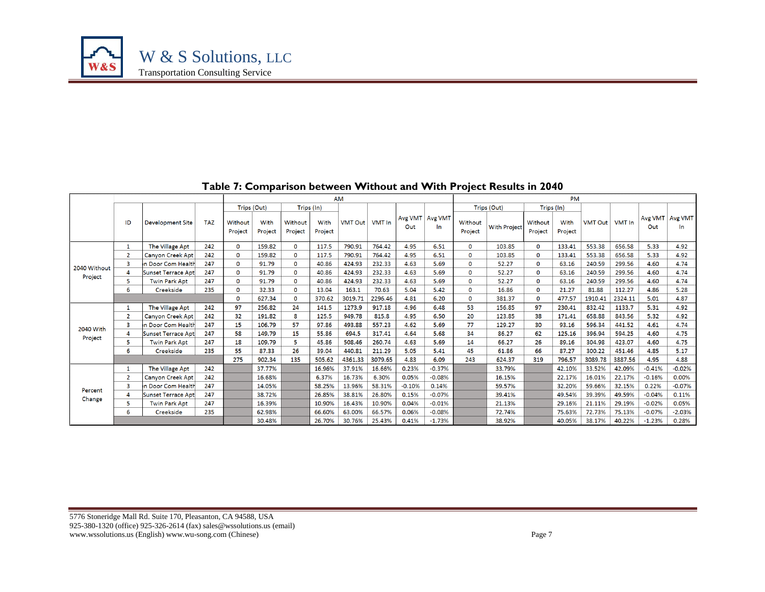

<span id="page-6-0"></span>

| AM           |                |                           |            |                    |                 |                    |                 |                |         |          |                            |                    | <b>PM</b>           |                    |                 |                  |         |          |                            |
|--------------|----------------|---------------------------|------------|--------------------|-----------------|--------------------|-----------------|----------------|---------|----------|----------------------------|--------------------|---------------------|--------------------|-----------------|------------------|---------|----------|----------------------------|
|              |                |                           |            |                    | Trips (Out)     |                    | Trips (In)      |                |         |          |                            |                    | Trips (Out)         |                    | Trips (In)      |                  |         |          |                            |
|              | ID             | <b>Development Site</b>   | <b>TAZ</b> | Without<br>Project | With<br>Project | Without<br>Project | With<br>Project | <b>VMT Out</b> | VMT In  | Out      | Avg VMT   Avg VMT  <br>In. | Without<br>Project | <b>With Project</b> | Without<br>Project | With<br>Project | VMT Out   VMT In |         | Out      | Avg VMT   Avg VMT  <br>In. |
|              | 1              | The Village Apt           | 242        | $\mathbf 0$        | 159.82          | $\Omega$           | 117.5           | 790.91         | 764.42  | 4.95     | 6.51                       | 0                  | 103.85              | $\mathbf 0$        | 133.41          | 553.38           | 656.58  | 5.33     | 4.92                       |
|              | $\overline{2}$ | <b>Canyon Creek Apt</b>   | 242        | $\mathbf 0$        | 159.82          | 0                  | 117.5           | 790.91         | 764.42  | 4.95     | 6.51                       | 0                  | 103.85              | $\mathbf 0$        | 133.41          | 553.38           | 656.58  | 5.33     | 4.92                       |
| 2040 Without | 3              | In Door Com Health        | 247        | $\mathbf 0$        | 91.79           | $\Omega$           | 40.86           | 424.93         | 232.33  | 4.63     | 5.69                       | 0                  | 52.27               | $\mathbf 0$        | 63.16           | 240.59           | 299.56  | 4.60     | 4.74                       |
|              | Δ              | Sunset Terrace Apt        | 247        | $\mathbf 0$        | 91.79           | 0                  | 40.86           | 424.93         | 232.33  | 4.63     | 5.69                       | 0                  | 52.27               | $\mathbf 0$        | 63.16           | 240.59           | 299.56  | 4.60     | 4.74                       |
| Project      | 5              | <b>Twin Park Apt</b>      | 247        | $\mathbf 0$        | 91.79           | 0                  | 40.86           | 424.93         | 232.33  | 4.63     | 5.69                       | 0                  | 52.27               | 0                  | 63.16           | 240.59           | 299.56  | 4.60     | 4.74                       |
|              | 6              | Creekside                 | 235        | $\mathbf 0$        | 32.33           | 0                  | 13.04           | 163.1          | 70.63   | 5.04     | 5.42                       | 0                  | 16.86               | 0                  | 21.27           | 81.88            | 112.27  | 4.86     | 5.28                       |
|              |                |                           |            | $\mathbf 0$        | 627.34          | 0                  | 370.62          | 3019.71        | 2296.46 | 4.81     | 6.20                       | 0                  | 381.37              | $\mathbf 0$        | 477.57          | 1910.41          | 2324.11 | 5.01     | 4.87                       |
|              | $\mathbf{1}$   | The Village Apt           | 242        | 97                 | 256.82          | 24                 | 141.5           | 1273.9         | 917.18  | 4.96     | 6.48                       | 53                 | 156.85              | 97                 | 230.41          | 832.42           | 1133.7  | 5.31     | 4.92                       |
|              | $\overline{2}$ | Canyon Creek Apt          | 242        | 32                 | 191.82          | 8                  | 125.5           | 949.78         | 815.8   | 4.95     | 6.50                       | 20                 | 123.85              | 38                 | 171.41          | 658.88           | 843.56  | 5.32     | 4.92                       |
| 2040 With    | 3              | In Door Com Health        | 247        | 15                 | 106.79          | 57                 | 97.86           | 493.88         | 557.23  | 4.62     | 5.69                       | 77                 | 129.27              | 30                 | 93.16           | 596.34           | 441.52  | 4.61     | 4.74                       |
|              | 4              | <b>Sunset Terrace Apt</b> | 247        | 58                 | 149.79          | 15                 | 55.86           | 694.5          | 317.41  | 4.64     | 5.68                       | 34                 | 86.27               | 62                 | 125.16          | 396.94           | 594.25  | 4.60     | 4.75                       |
| Project      | 5              | <b>Twin Park Apt</b>      | 247        | 18                 | 109.79          | 5.                 | 45.86           | 508.46         | 260.74  | 4.63     | 5.69                       | 14                 | 66.27               | 26                 | 89.16           | 304.98           | 423.07  | 4.60     | 4.75                       |
|              | 6              | Creekside                 | 235        | 55                 | 87.33           | 26                 | 39.04           | 440.81         | 211.29  | 5.05     | 5.41                       | 45                 | 61.86               | 66                 | 87.27           | 300.22           | 451.46  | 4.85     | 5.17                       |
|              |                |                           |            | 275                | 902.34          | 135                | 505.62          | 4361.33        | 3079.65 | 4.83     | 6.09                       | 243                | 624.37              | 319                | 796.57          | 3089.78          | 3887.56 | 4.95     | 4.88                       |
|              | 1              | The Village Apt           | 242        |                    | 37.77%          |                    | 16.96%          | 37.91%         | 16.66%  | 0.23%    | $-0.37%$                   |                    | 33.79%              |                    | 42.10%          | 33.52%           | 42.09%  | $-0.41%$ | $-0.02%$                   |
|              | $\overline{2}$ | <b>Canyon Creek Apt</b>   | 242        |                    | 16.68%          |                    | 6.37%           | 16.73%         | 6.30%   | 0.05%    | $-0.08%$                   |                    | 16.15%              |                    | 22.17%          | 16.01%           | 22.17%  | $-0.16%$ | 0.00%                      |
|              | 3              | In Door Com Health        | 247        |                    | 14.05%          |                    | 58.25%          | 13.96%         | 58.31%  | $-0.10%$ | 0.14%                      |                    | 59.57%              |                    | 32.20%          | 59.66%           | 32.15%  | 0.22%    | $-0.07%$                   |
| Percent      | Δ              | <b>Sunset Terrace Apt</b> | 247        |                    | 38.72%          |                    | 26.85%          | 38.81%         | 26.80%  | 0.15%    | $-0.07%$                   |                    | 39.41%              |                    | 49.54%          | 39.39%           | 49.59%  | $-0.04%$ | 0.11%                      |
| Change       | 5              | <b>Twin Park Apt</b>      | 247        |                    | 16.39%          |                    | 10.90%          | 16.43%         | 10.90%  | 0.04%    | $-0.01%$                   |                    | 21.13%              |                    | 29.16%          | 21.11%           | 29.19%  | $-0.02%$ | 0.05%                      |
|              | 6              | Creekside                 | 235        |                    | 62.98%          |                    | 66.60%          | 63.00%         | 66.57%  | 0.06%    | $-0.08%$                   |                    | 72.74%              |                    | 75.63%          | 72.73%           | 75.13%  | $-0.07%$ | $-2.03%$                   |
|              |                |                           |            |                    | 30.48%          |                    | 26.70%          | 30.76%         | 25.43%  | 0.41%    | $-1.73%$                   |                    | 38.92%              |                    | 40.05%          | 38.17%           | 40.22%  | $-1.23%$ | 0.28%                      |

#### **Table 7: Comparison between Without and With Project Results in 2040**